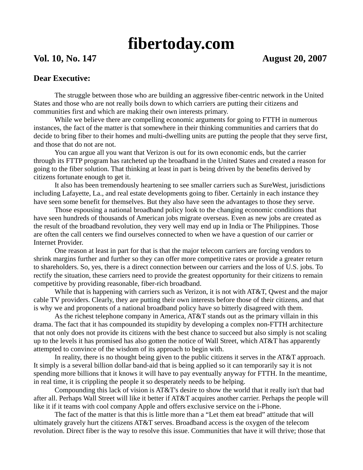## **fibertoday.com**

## **Vol. 10, No. 147 August 20, 2007**

## **Dear Executive:**

 The struggle between those who are building an aggressive fiber-centric network in the United States and those who are not really boils down to which carriers are putting their citizens and communities first and which are making their own interests primary.

 While we believe there are compelling economic arguments for going to FTTH in numerous instances, the fact of the matter is that somewhere in their thinking communities and carriers that do decide to bring fiber to their homes and multi-dwelling units are putting the people that they serve first, and those that do not are not.

 You can argue all you want that Verizon is out for its own economic ends, but the carrier through its FTTP program has ratcheted up the broadband in the United States and created a reason for going to the fiber solution. That thinking at least in part is being driven by the benefits derived by citizens fortunate enough to get it.

 It also has been tremendously heartening to see smaller carriers such as SureWest, jurisdictions including Lafayette, La., and real estate developments going to fiber. Certainly in each instance they have seen some benefit for themselves. But they also have seen the advantages to those they serve.

 Those espousing a national broadband policy look to the changing economic conditions that have seen hundreds of thousands of American jobs migrate overseas. Even as new jobs are created as the result of the broadband revolution, they very well may end up in India or The Philippines. Those are often the call centers we find ourselves connected to when we have a question of our carrier or Internet Provider.

 One reason at least in part for that is that the major telecom carriers are forcing vendors to shrink margins further and further so they can offer more competitive rates or provide a greater return to shareholders. So, yes, there is a direct connection between our carriers and the loss of U.S. jobs. To rectify the situation, these carriers need to provide the greatest opportunity for their citizens to remain competitive by providing reasonable, fiber-rich broadband.

While that is happening with carriers such as Verizon, it is not with AT&T, Qwest and the major cable TV providers. Clearly, they are putting their own interests before those of their citizens, and that is why we and proponents of a national broadband policy have so bitterly disagreed with them.

 As the richest telephone company in America, AT&T stands out as the primary villain in this drama. The fact that it has compounded its stupidity by developing a complex non-FTTH architecture that not only does not provide its citizens with the best chance to succeed but also simply is not scaling up to the levels it has promised has also gotten the notice of Wall Street, which AT&T has apparently attempted to convince of the wisdom of its approach to begin with.

 In reality, there is no thought being given to the public citizens it serves in the AT&T approach. It simply is a several billion dollar band-aid that is being applied so it can temporarily say it is not spending more billions that it knows it will have to pay eventually anyway for FTTH. In the meantime, in real time, it is crippling the people it so desperately needs to be helping.

 Compounding this lack of vision is AT&T's desire to show the world that it really isn't that bad after all. Perhaps Wall Street will like it better if AT&T acquires another carrier. Perhaps the people will like it if it teams with cool company Apple and offers exclusive service on the i-Phone.

 The fact of the matter is that this is little more than a "Let them eat bread" attitude that will ultimately gravely hurt the citizens AT&T serves. Broadband access is the oxygen of the telecom revolution. Direct fiber is the way to resolve this issue. Communities that have it will thrive; those that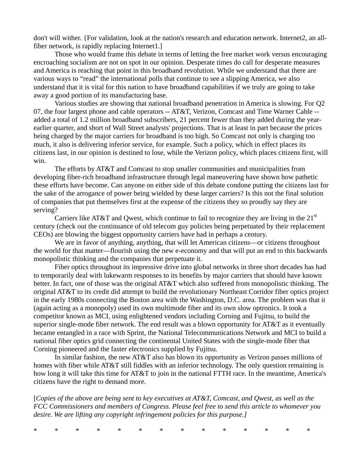don't will wither. {For validation, look at the nation's research and education network. Internet2, an allfiber network, is rapidly replacing Internet1.]

 Those who would frame this debate in terms of letting the free market work versus encouraging encroaching socialism are not on spot in our opinion. Desperate times do call for desperate measures and America is reaching that point in this broadband revolution. While we understand that there are various ways to "read" the international polls that continue to see a slipping America, we also understand that it is vital for this nation to have broadband capabilities if we truly are going to take away a good portion of its manufacturing base.

 Various studies are showing that national broadband penetration in America is slowing. For Q2 07, the four largest phone and cable operators -- AT&T, Verizon, Comcast and Time Warner Cable - added a total of 1.2 million broadband subscribers, 21 percent fewer than they added during the yearearlier quarter, and short of Wall Street analysts' projections. That is at least in part because the prices being charged by the major carriers for broadband is too high. So Comcast not only is charging too much, it also is delivering inferior service, for example. Such a policy, which in effect places its citizens last, in our opinion is destined to lose, while the Verizon policy, which places citizens first, will win.

 The efforts by AT&T and Comcast to stop smaller communities and municipalities from developing fiber-rich broadband infrastructure through legal maneuvering have shown how pathetic these efforts have become. Can anyone on either side of this debate condone putting the citizens last for the sake of the arrogance of power being wielded by these larger carriers? Is this not the final solution of companies that put themselves first at the expense of the citizens they so proudly say they are serving?

Carriers like AT&T and Qwest, which continue to fail to recognize they are living in the  $21<sup>st</sup>$ century (check out the continuance of old telecom guy policies being perpetuated by their replacement CEOs) are blowing the biggest opportunity carriers have had in perhaps a century.

We are in favor of anything, anything, that will let American citizens—or citizens throughout the world for that matter—flourish using the new e-economy and that will put an end to this backwards monopolistic thinking and the companies that perpetuate it.

 Fiber optics throughout its impressive drive into global networks in three short decades has had to temporarily deal with lukewarm responses to its benefits by major carriers that should have known better. In fact, one of those was the original AT&T which also suffered from monopolistic thinking. The original AT&T to its credit did attempt to build the revolutionary Northeast Corridor fiber optics project in the early 1980s connecting the Boston area with the Washington, D.C. area. The problem was that it (again acting as a monopoly) used its own multimode fiber and its own slow optronics. It took a competitor known as MCI, using enlightened vendors including Corning and Fujitsu, to build the superior single-mode fiber network. The end result was a blown opportunity for AT&T as it eventually became entangled in a race with Sprint, the National Telecommunications Network and MCI to build a national fiber optics grid connecting the continental United States with the single-mode fiber that Corning pioneered and the faster electronics supplied by Fujitsu.

 In similar fashion, the new AT&T also has blown its opportunity as Verizon passes millions of homes with fiber while AT&T still fiddles with an inferior technology. The only question remaining is how long it will take this time for AT&T to join in the national FTTH race. In the meantime, America's citizens have the right to demand more.

[*Copies of the above are being sent to key executives at AT&T, Comcast, and Qwest, as well as the FCC Commissioners and members of Congress. Please feel free to send this article to whomever you desire. We are lifting any copyright infringement policies for this purpose.]* 

\* \* \* \* \* \* \* \* \* \* \* \* \* \*